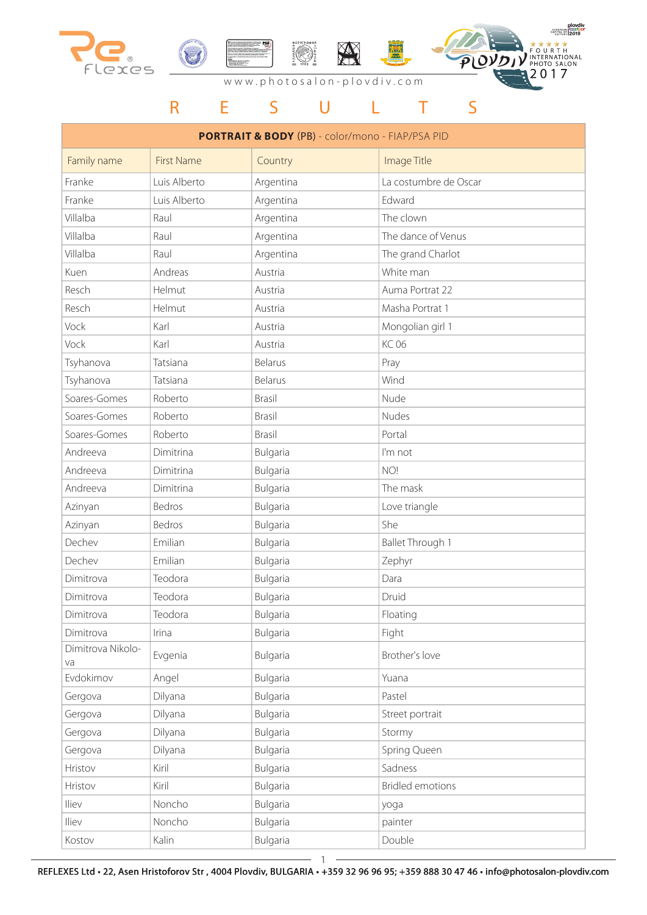





## R E S U L T S

| <b>PORTRAIT &amp; BODY (PB)</b> - color/mono - FIAP/PSA PID |                   |           |                         |
|-------------------------------------------------------------|-------------------|-----------|-------------------------|
| Family name                                                 | <b>First Name</b> | Country   | Image Title             |
| Franke                                                      | Luis Alberto      | Argentina | La costumbre de Oscar   |
| Franke                                                      | Luis Alberto      | Argentina | Edward                  |
| Villalba                                                    | Raul              | Argentina | The clown               |
| Villalba                                                    | Raul              | Argentina | The dance of Venus      |
| Villalba                                                    | Raul              | Argentina | The grand Charlot       |
| Kuen                                                        | Andreas           | Austria   | White man               |
| Resch                                                       | Helmut            | Austria   | Auma Portrat 22         |
| Resch                                                       | Helmut            | Austria   | Masha Portrat 1         |
| Vock                                                        | Karl              | Austria   | Mongolian girl 1        |
| Vock                                                        | Karl              | Austria   | <b>KC 06</b>            |
| Tsyhanova                                                   | Tatsiana          | Belarus   | Pray                    |
| Tsyhanova                                                   | Tatsiana          | Belarus   | Wind                    |
| Soares-Gomes                                                | Roberto           | Brasil    | Nude                    |
| Soares-Gomes                                                | Roberto           | Brasil    | Nudes                   |
| Soares-Gomes                                                | Roberto           | Brasil    | Portal                  |
| Andreeva                                                    | Dimitrina         | Bulgaria  | I'm not                 |
| Andreeva                                                    | Dimitrina         | Bulgaria  | NO!                     |
| Andreeva                                                    | Dimitrina         | Bulgaria  | The mask                |
| Azinyan                                                     | Bedros            | Bulgaria  | Love triangle           |
| Azinyan                                                     | Bedros            | Bulgaria  | She                     |
| Dechev                                                      | Emilian           | Bulgaria  | Ballet Through 1        |
| Dechev                                                      | Emilian           | Bulgaria  | Zephyr                  |
| Dimitrova                                                   | Teodora           | Bulgaria  | Dara                    |
| Dimitrova                                                   | Teodora           | Bulgaria  | Druid                   |
| Dimitrova                                                   | Teodora           | Bulgaria  | Floating                |
| Dimitrova                                                   | Irina             | Bulgaria  | Fight                   |
| Dimitrova Nikolo-<br>va                                     | Evgenia           | Bulgaria  | Brother's love          |
| Evdokimov                                                   | Angel             | Bulgaria  | Yuana                   |
| Gergova                                                     | Dilyana           | Bulgaria  | Pastel                  |
| Gergova                                                     | Dilyana           | Bulgaria  | Street portrait         |
| Gergova                                                     | Dilyana           | Bulgaria  | Stormy                  |
| Gergova                                                     | Dilyana           | Bulgaria  | Spring Queen            |
| Hristov                                                     | Kiril             | Bulgaria  | Sadness                 |
| Hristov                                                     | Kiril             | Bulgaria  | <b>Bridled emotions</b> |
| Iliev                                                       | Noncho            | Bulgaria  | yoga                    |
| lliev                                                       | Noncho            | Bulgaria  | painter                 |
| Kostov                                                      | Kalin             | Bulgaria  | Double                  |

REFLEXES Ltd • 22, Asen Hristoforov Str , 4004 Plovdiv, BULGARIA • +359 32 96 96 95; +359 888 30 47 46 • info@photosalon-plovdiv.com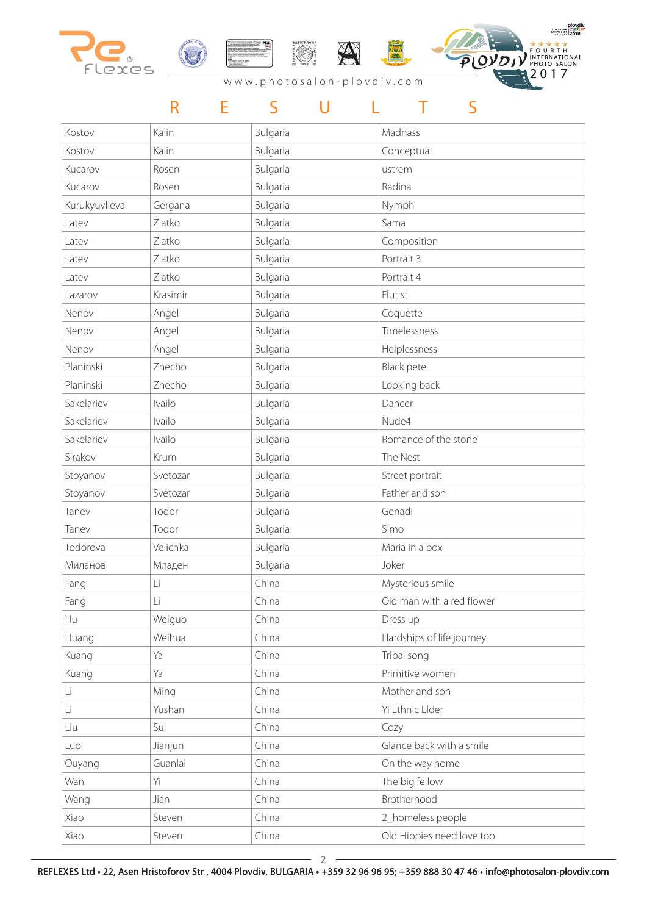







# R E S U L T S

| Kostov        | Kalin    | Bulgaria | Madnass                   |
|---------------|----------|----------|---------------------------|
| Kostov        | Kalin    | Bulgaria | Conceptual                |
| Kucarov       | Rosen    | Bulgaria | ustrem                    |
| Kucarov       | Rosen    | Bulgaria | Radina                    |
| Kurukyuvlieva | Gergana  | Bulgaria | Nymph                     |
| Latev         | Zlatko   | Bulgaria | Sama                      |
| Latev         | Zlatko   | Bulgaria | Composition               |
| Latev         | Zlatko   | Bulgaria | Portrait 3                |
| Latev         | Zlatko   | Bulgaria | Portrait 4                |
| Lazarov       | Krasimir | Bulgaria | Flutist                   |
| Nenov         | Angel    | Bulgaria | Coquette                  |
| Nenov         | Angel    | Bulgaria | Timelessness              |
| Nenov         | Angel    | Bulgaria | Helplessness              |
| Planinski     | Zhecho   | Bulgaria | <b>Black pete</b>         |
| Planinski     | Zhecho   | Bulgaria | Looking back              |
| Sakelariev    | Ivailo   | Bulgaria | Dancer                    |
| Sakelariev    | Ivailo   | Bulgaria | Nude4                     |
| Sakelariev    | Ivailo   | Bulgaria | Romance of the stone      |
| Sirakov       | Krum     | Bulgaria | The Nest                  |
| Stoyanov      | Svetozar | Bulgaria | Street portrait           |
| Stoyanov      | Svetozar | Bulgaria | Father and son            |
| Tanev         | Todor    | Bulgaria | Genadi                    |
| Tanev         | Todor    | Bulgaria | Simo                      |
| Todorova      | Velichka | Bulgaria | Maria in a box            |
| Миланов       | Младен   | Bulgaria | Joker                     |
| Fang          | Li       | China    | Mysterious smile          |
| Fang          | Li       | China    | Old man with a red flower |
| Hu            | Weiguo   | China    | Dress up                  |
| Huang         | Weihua   | China    | Hardships of life journey |
| Kuang         | Ya       | China    | Tribal song               |
| Kuang         | Ya       | China    | Primitive women           |
| Li            | Ming     | China    | Mother and son            |
| Li            | Yushan   | China    | Yi Ethnic Elder           |
| Liu           | Sui      | China    | Cozy                      |
| Luo           | Jianjun  | China    | Glance back with a smile  |
| Ouyang        | Guanlai  | China    | On the way home           |
| Wan           | Yi       | China    | The big fellow            |
| Wang          | Jian     | China    | Brotherhood               |
| Xiao          | Steven   | China    | 2_homeless people         |
| Xiao          | Steven   | China    | Old Hippies need love too |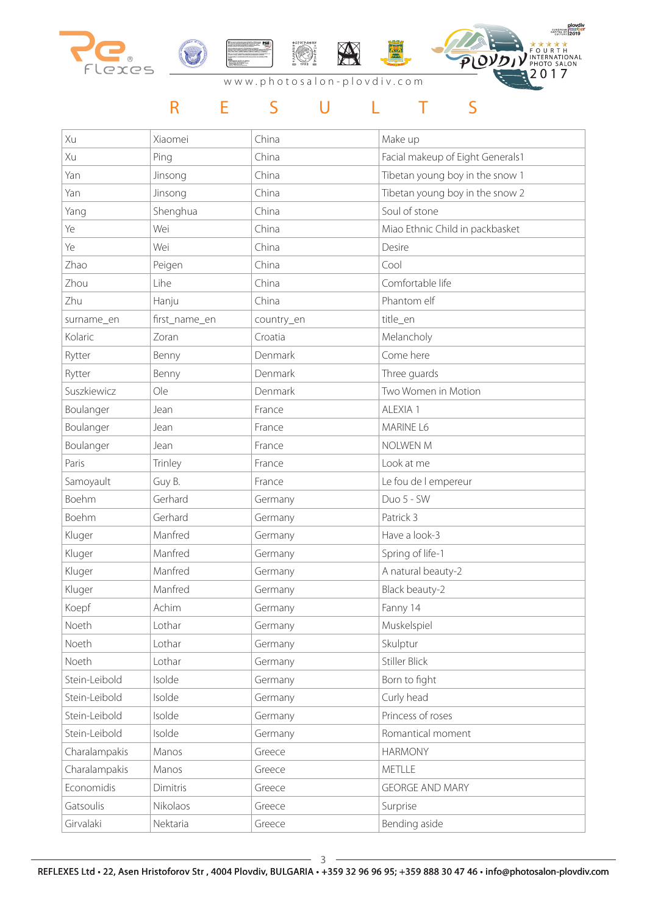

### R E S U L T S

| Xu            | Xiaomei       | China      | Make up                          |
|---------------|---------------|------------|----------------------------------|
| Xu            | Ping          | China      | Facial makeup of Eight Generals1 |
| Yan           | Jinsong       | China      | Tibetan young boy in the snow 1  |
| Yan           | Jinsong       | China      | Tibetan young boy in the snow 2  |
| Yang          | Shenghua      | China      | Soul of stone                    |
| Ye            | Wei           | China      | Miao Ethnic Child in packbasket  |
| Ye            | Wei           | China      | Desire                           |
| Zhao          | Peigen        | China      | Cool                             |
| Zhou          | Lihe          | China      | Comfortable life                 |
| Zhu           | Hanju         | China      | Phantom elf                      |
| surname_en    | first_name_en | country_en | title_en                         |
| Kolaric       | Zoran         | Croatia    | Melancholy                       |
| Rytter        | Benny         | Denmark    | Come here                        |
| Rytter        | Benny         | Denmark    | Three guards                     |
| Suszkiewicz   | Ole           | Denmark    | Two Women in Motion              |
| Boulanger     | Jean          | France     | ALEXIA 1                         |
| Boulanger     | Jean          | France     | MARINE L6                        |
| Boulanger     | Jean          | France     | <b>NOLWEN M</b>                  |
| Paris         | Trinley       | France     | Look at me                       |
| Samoyault     | Guy B.        | France     | Le fou de l empereur             |
| Boehm         | Gerhard       | Germany    | Duo 5 - SW                       |
| Boehm         | Gerhard       | Germany    | Patrick 3                        |
| Kluger        | Manfred       | Germany    | Have a look-3                    |
| Kluger        | Manfred       | Germany    | Spring of life-1                 |
| Kluger        | Manfred       | Germany    | A natural beauty-2               |
| Kluger        | Manfred       | Germany    | Black beauty-2                   |
| Koepf         | Achim         | Germany    | Fanny 14                         |
| Noeth         | Lothar        | Germany    | Muskelspiel                      |
| Noeth         | Lothar        | Germany    | Skulptur                         |
| Noeth         | Lothar        | Germany    | <b>Stiller Blick</b>             |
| Stein-Leibold | Isolde        | Germany    | Born to fight                    |
| Stein-Leibold | Isolde        | Germany    | Curly head                       |
| Stein-Leibold | Isolde        | Germany    | Princess of roses                |
| Stein-Leibold | Isolde        | Germany    | Romantical moment                |
| Charalampakis | Manos         | Greece     | <b>HARMONY</b>                   |
| Charalampakis | Manos         | Greece     | METLLE                           |
| Economidis    | Dimitris      | Greece     | <b>GEORGE AND MARY</b>           |
| Gatsoulis     | Nikolaos      | Greece     | Surprise                         |
| Girvalaki     | Nektaria      | Greece     | Bending aside                    |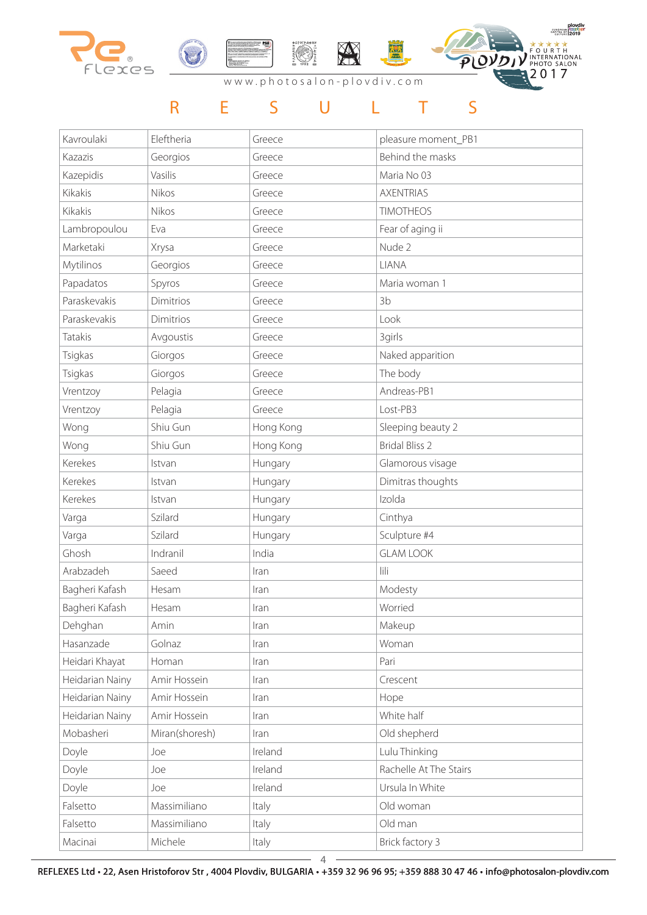

#### R E S U L T S

| Kavroulaki      | Eleftheria     | Greece    | pleasure moment_PB1    |
|-----------------|----------------|-----------|------------------------|
| Kazazis         | Georgios       | Greece    | Behind the masks       |
| Kazepidis       | Vasilis        | Greece    | Maria No 03            |
| Kikakis         | Nikos          | Greece    | <b>AXENTRIAS</b>       |
| Kikakis         | Nikos          | Greece    | <b>TIMOTHEOS</b>       |
| Lambropoulou    | Eva            | Greece    | Fear of aging ii       |
| Marketaki       | Xrysa          | Greece    | Nude 2                 |
| Mytilinos       | Georgios       | Greece    | LIANA                  |
| Papadatos       | Spyros         | Greece    | Maria woman 1          |
| Paraskevakis    | Dimitrios      | Greece    | 3b                     |
| Paraskevakis    | Dimitrios      | Greece    | Look                   |
| Tatakis         | Avgoustis      | Greece    | 3girls                 |
| Tsigkas         | Giorgos        | Greece    | Naked apparition       |
| Tsigkas         | Giorgos        | Greece    | The body               |
| Vrentzoy        | Pelagia        | Greece    | Andreas-PB1            |
| Vrentzoy        | Pelagia        | Greece    | Lost-PB3               |
| Wong            | Shiu Gun       | Hong Kong | Sleeping beauty 2      |
| Wong            | Shiu Gun       | Hong Kong | <b>Bridal Bliss 2</b>  |
| Kerekes         | Istvan         | Hungary   | Glamorous visage       |
| Kerekes         | Istvan         | Hungary   | Dimitras thoughts      |
| Kerekes         | Istvan         | Hungary   | Izolda                 |
| Varga           | Szilard        | Hungary   | Cinthya                |
| Varga           | Szilard        | Hungary   | Sculpture #4           |
| Ghosh           | Indranil       | India     | <b>GLAM LOOK</b>       |
| Arabzadeh       | Saeed          | Iran      | lili                   |
| Bagheri Kafash  | Hesam          | Iran      | Modesty                |
| Bagheri Kafash  | Hesam          | Iran      | Worried                |
| Dehghan         | Amin           | Iran      | Makeup                 |
| Hasanzade       | Golnaz         | Iran      | Woman                  |
| Heidari Khayat  | Homan          | Iran      | Pari                   |
| Heidarian Nainy | Amir Hossein   | Iran      | Crescent               |
| Heidarian Nainy | Amir Hossein   | Iran      | Hope                   |
| Heidarian Nainy | Amir Hossein   | Iran      | White half             |
| Mobasheri       | Miran(shoresh) | Iran      | Old shepherd           |
| Doyle           | Joe            | Ireland   | Lulu Thinking          |
| Doyle           | Joe            | Ireland   | Rachelle At The Stairs |
| Doyle           | Joe            | Ireland   | Ursula In White        |
| Falsetto        | Massimiliano   | Italy     | Old woman              |
| Falsetto        | Massimiliano   | Italy     | Old man                |
| Macinai         | Michele        | Italy     | Brick factory 3        |

REFLEXES Ltd • 22, Asen Hristoforov Str , 4004 Plovdiv, BULGARIA • +359 32 96 96 95; +359 888 30 47 46 • info@photosalon-plovdiv.com 4

 $\overline{a}$